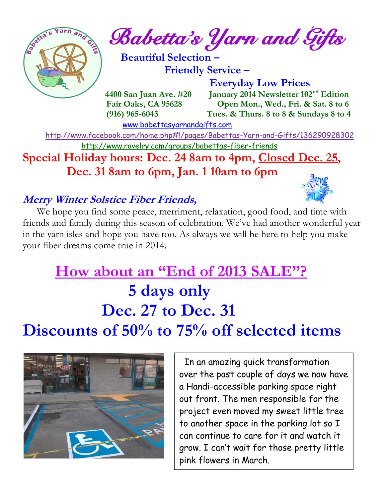

 $\int_{\mathcal{C}} e^{\frac{1}{2} \left( \mathbf{r} - \mathbf{r} \right) \mathbf{r}} \mathbf{r} \, d\mathbf{r} \, d\mathbf{r}}$  and Gifts

 **Beautiful Selection – Friendly Service –**

 **Everyday Low Prices 4400 San Juan Ave. #20 January 2014 Newsletter 102nd Edition Fair Oaks, CA 95628 Open Mon., Wed., Fri. & Sat. 8 to 6 (916) 965-6043 Tues. & Thurs. 8 to 8 & Sundays 8 to 4** 

[www.babettasyarnandgifts.com](http://www.babettasyarnandgifts.com/)

 <http://www.facebook.com/home.php#!/pages/Babettas-Yarn-and-Gifts/136290928302> <http://www.ravelry.com/groups/babettas-fiber-friends>

**Special Holiday hours: Dec. 24 8am to 4pm, Closed Dec. 25, Dec. 31 8am to 6pm, Jan. 1 10am to 6pm**

## **Merry Winter Solstice Fiber Friends,**



 We hope you find some peace, merriment, relaxation, good food, and time with friends and family during this season of celebration. We've had another wonderful year in the yarn isles and hope you have too. As always we will be here to help you make your fiber dreams come true in 2014.

# **How about an "End of 2013 SALE"? 5 days only Dec. 27 to Dec. 31 Discounts of 50% to 75% off selected items**



 In an amazing quick transformation over the past couple of days we now have a Handi-accessible parking space right out front. The men responsible for the project even moved my sweet little tree to another space in the parking lot so I can continue to care for it and watch it grow. I can't wait for those pretty little pink flowers in March.